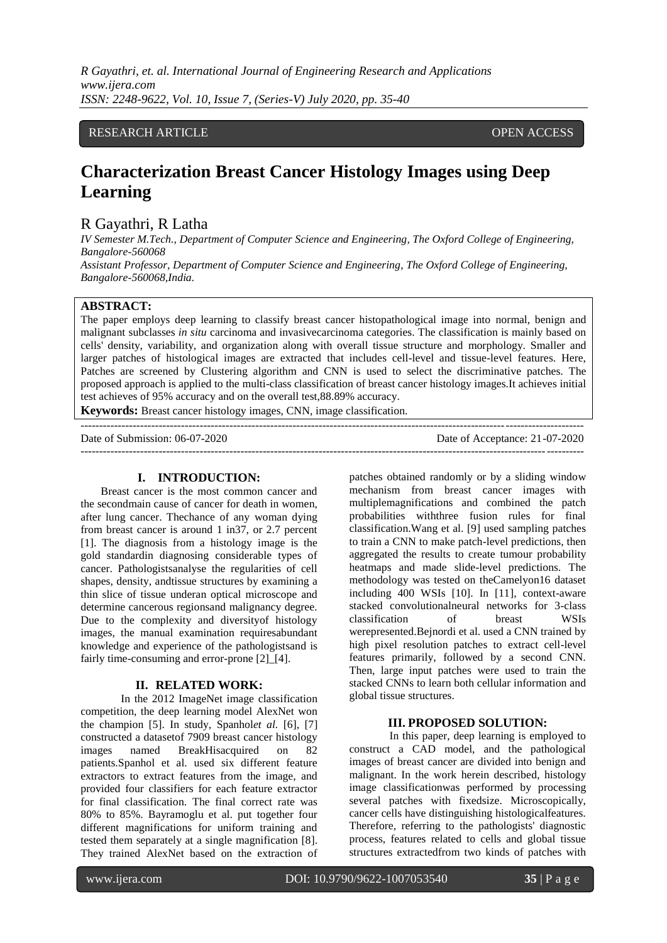# RESEARCH ARTICLE **OPEN ACCESS**

# **Characterization Breast Cancer Histology Images using Deep Learning**

# R Gayathri, R Latha

*IV Semester M.Tech., Department of Computer Science and Engineering, The Oxford College of Engineering, Bangalore-560068 Assistant Professor, Department of Computer Science and Engineering, The Oxford College of Engineering, Bangalore-560068,India.*

## **ABSTRACT:**

The paper employs deep learning to classify breast cancer histopathological image into normal, benign and malignant subclasses *in situ* carcinoma and invasivecarcinoma categories. The classification is mainly based on cells' density, variability, and organization along with overall tissue structure and morphology. Smaller and larger patches of histological images are extracted that includes cell-level and tissue-level features. Here, Patches are screened by Clustering algorithm and CNN is used to select the discriminative patches. The proposed approach is applied to the multi-class classification of breast cancer histology images.It achieves initial test achieves of 95% accuracy and on the overall test,88.89% accuracy.

---------------------------------------------------------------------------------------------------------------------------------------

**Keywords:** Breast cancer histology images, CNN, image classification.

Date of Submission: 06-07-2020 Date of Acceptance: 21-07-2020  $-1\leq i\leq n-1\leq n-1\leq n-1\leq n-1\leq n-1\leq n-1\leq n-1\leq n-1\leq n-1\leq n-1\leq n-1\leq n-1\leq n-1\leq n-1\leq n-1\leq n-1\leq n-1\leq n-1\leq n-1\leq n-1\leq n-1\leq n-1\leq n-1\leq n-1\leq n-1\leq n-1\leq n-1\leq n-1\leq n-1\leq n-1\leq n-1\leq n-1\leq n-1\leq n-1\leq n-1\leq n$ 

#### **I. INTRODUCTION:**

Breast cancer is the most common cancer and the secondmain cause of cancer for death in women, after lung cancer. Thechance of any woman dying from breast cancer is around 1 in37, or 2.7 percent [1]. The diagnosis from a histology image is the gold standardin diagnosing considerable types of cancer. Pathologistsanalyse the regularities of cell shapes, density, andtissue structures by examining a thin slice of tissue underan optical microscope and determine cancerous regionsand malignancy degree. Due to the complexity and diversityof histology images, the manual examination requiresabundant knowledge and experience of the pathologistsand is fairly time-consuming and error-prone [2] [4].

#### **II. RELATED WORK:**

In the 2012 ImageNet image classification competition, the deep learning model AlexNet won the champion [5]. In study, Spanhol*et al.* [6], [7] constructed a datasetof 7909 breast cancer histology images named BreakHisacquired on 82 patients.Spanhol et al. used six different feature extractors to extract features from the image, and provided four classifiers for each feature extractor for final classification. The final correct rate was 80% to 85%. Bayramoglu et al. put together four different magnifications for uniform training and tested them separately at a single magnification [8]. They trained AlexNet based on the extraction of patches obtained randomly or by a sliding window mechanism from breast cancer images with multiplemagnifications and combined the patch probabilities withthree fusion rules for final classification.Wang et al. [9] used sampling patches to train a CNN to make patch-level predictions, then aggregated the results to create tumour probability heatmaps and made slide-level predictions. The methodology was tested on theCamelyon16 dataset including 400 WSIs [10]. In [11], context-aware stacked convolutionalneural networks for 3-class classification of breast WSIs werepresented.Bejnordi et al. used a CNN trained by high pixel resolution patches to extract cell-level features primarily, followed by a second CNN. Then, large input patches were used to train the stacked CNNs to learn both cellular information and global tissue structures.

#### **III. PROPOSED SOLUTION:**

In this paper, deep learning is employed to construct a CAD model, and the pathological images of breast cancer are divided into benign and malignant. In the work herein described, histology image classificationwas performed by processing several patches with fixedsize. Microscopically, cancer cells have distinguishing histologicalfeatures. Therefore, referring to the pathologists' diagnostic process, features related to cells and global tissue structures extractedfrom two kinds of patches with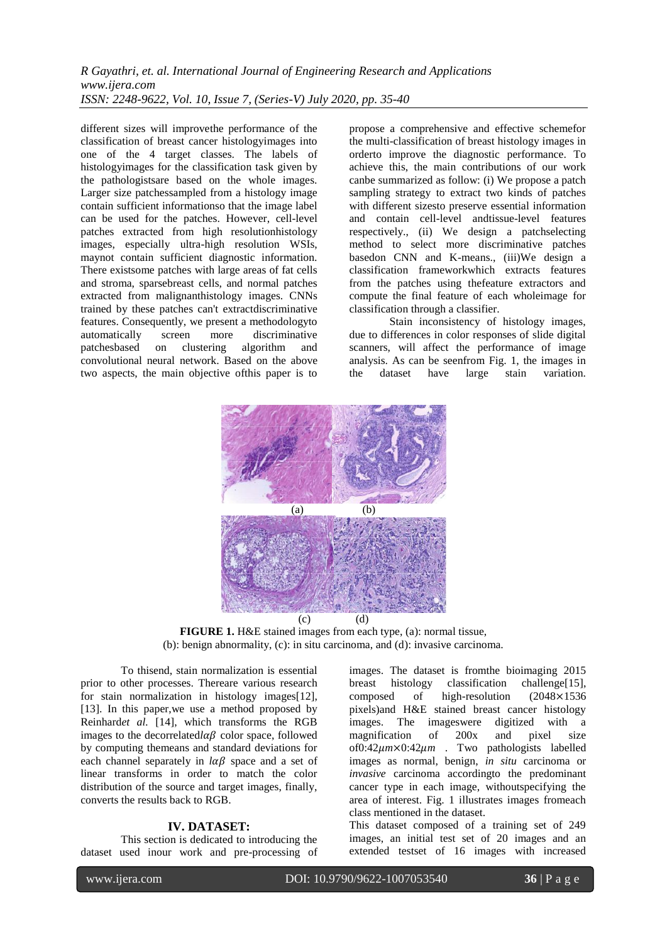different sizes will improvethe performance of the classification of breast cancer histologyimages into one of the 4 target classes. The labels of histologyimages for the classification task given by the pathologistsare based on the whole images. Larger size patchessampled from a histology image contain sufficient informationso that the image label can be used for the patches. However, cell-level patches extracted from high resolutionhistology images, especially ultra-high resolution WSIs, maynot contain sufficient diagnostic information. There existsome patches with large areas of fat cells and stroma, sparsebreast cells, and normal patches extracted from malignanthistology images. CNNs trained by these patches can't extractdiscriminative features. Consequently, we present a methodologyto automatically screen more discriminative patchesbased on clustering algorithm and convolutional neural network. Based on the above two aspects, the main objective ofthis paper is to propose a comprehensive and effective schemefor the multi-classification of breast histology images in orderto improve the diagnostic performance. To achieve this, the main contributions of our work canbe summarized as follow: (i) We propose a patch sampling strategy to extract two kinds of patches with different sizesto preserve essential information and contain cell-level andtissue-level features respectively., (ii) We design a patchselecting method to select more discriminative patches basedon CNN and K-means., (iii)We design a classification frameworkwhich extracts features from the patches using thefeature extractors and compute the final feature of each wholeimage for classification through a classifier.

Stain inconsistency of histology images, due to differences in color responses of slide digital scanners, will affect the performance of image analysis. As can be seenfrom Fig. 1, the images in the dataset have large stain variation.



**FIGURE 1.** H&E stained images from each type, (a): normal tissue, (b): benign abnormality, (c): in situ carcinoma, and (d): invasive carcinoma.

To thisend, stain normalization is essential prior to other processes. Thereare various research for stain normalization in histology images[12], [13]. In this paper,we use a method proposed by Reinhard*et al.* [14], which transforms the RGB images to the decorrelated $l\alpha\beta$  color space, followed by computing themeans and standard deviations for each channel separately in  $l\alpha\beta$  space and a set of linear transforms in order to match the color distribution of the source and target images, finally, converts the results back to RGB.

#### **IV. DATASET:**

This section is dedicated to introducing the dataset used inour work and pre-processing of images. The dataset is fromthe bioimaging 2015 breast histology classification challenge[15], composed of high-resolution (2048×1536 pixels)and H&E stained breast cancer histology images. The imageswere digitized with a magnification of 200x and pixel size of0:42*m*×0:42*m* . Two pathologists labelled images as normal, benign, *in situ* carcinoma or *invasive* carcinoma accordingto the predominant cancer type in each image, withoutspecifying the area of interest. Fig. 1 illustrates images fromeach class mentioned in the dataset.

This dataset composed of a training set of 249 images, an initial test set of 20 images and an extended testset of 16 images with increased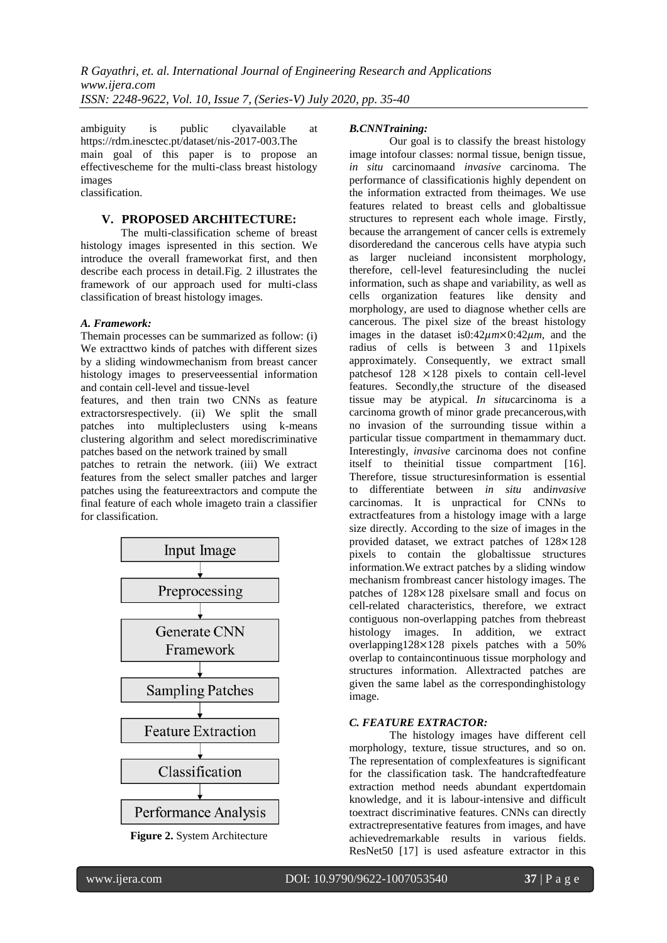ambiguity is public clyavailable at https://rdm.inesctec.pt/dataset/nis-2017-003.The main goal of this paper is to propose an effectivescheme for the multi-class breast histology images classification.

#### **V. PROPOSED ARCHITECTURE:**

The multi-classification scheme of breast histology images ispresented in this section. We introduce the overall frameworkat first, and then describe each process in detail.Fig. 2 illustrates the framework of our approach used for multi-class classification of breast histology images.

## *A. Framework:*

Themain processes can be summarized as follow: (i) We extracttwo kinds of patches with different sizes by a sliding windowmechanism from breast cancer histology images to preserveessential information and contain cell-level and tissue-level

features, and then train two CNNs as feature extractorsrespectively. (ii) We split the small patches into multipleclusters using k-means clustering algorithm and select morediscriminative patches based on the network trained by small

patches to retrain the network. (iii) We extract features from the select smaller patches and larger patches using the featureextractors and compute the final feature of each whole imageto train a classifier for classification.





#### *B.CNNTraining:*

Our goal is to classify the breast histology image intofour classes: normal tissue, benign tissue, *in situ* carcinomaand *invasive* carcinoma. The performance of classificationis highly dependent on the information extracted from theimages. We use features related to breast cells and globaltissue structures to represent each whole image. Firstly, because the arrangement of cancer cells is extremely disorderedand the cancerous cells have atypia such as larger nucleiand inconsistent morphology, therefore, cell-level featuresincluding the nuclei information, such as shape and variability, as well as cells organization features like density and morphology, are used to diagnose whether cells are cancerous. The pixel size of the breast histology images in the dataset is0:42 $\mu$ m×0:42 $\mu$ m, and the radius of cells is between 3 and 11pixels approximately. Consequently, we extract small patchesof 128 ×128 pixels to contain cell-level features. Secondly,the structure of the diseased tissue may be atypical. *In situ*carcinoma is a carcinoma growth of minor grade precancerous,with no invasion of the surrounding tissue within a particular tissue compartment in themammary duct. Interestingly, *invasive* carcinoma does not confine itself to theinitial tissue compartment [16]. Therefore, tissue structuresinformation is essential to differentiate between *in situ* and*invasive*  carcinomas. It is unpractical for CNNs to extractfeatures from a histology image with a large size directly. According to the size of images in the provided dataset, we extract patches of 128×128 pixels to contain the globaltissue structures information.We extract patches by a sliding window mechanism frombreast cancer histology images. The patches of 128×128 pixelsare small and focus on cell-related characteristics, therefore, we extract contiguous non-overlapping patches from thebreast histology images. In addition, we extract overlapping128×128 pixels patches with a 50% overlap to containcontinuous tissue morphology and structures information. Allextracted patches are given the same label as the correspondinghistology image.

#### *C. FEATURE EXTRACTOR:*

The histology images have different cell morphology, texture, tissue structures, and so on. The representation of complexfeatures is significant for the classification task. The handcraftedfeature extraction method needs abundant expertdomain knowledge, and it is labour-intensive and difficult toextract discriminative features. CNNs can directly extractrepresentative features from images, and have achievedremarkable results in various fields. ResNet50 [17] is used asfeature extractor in this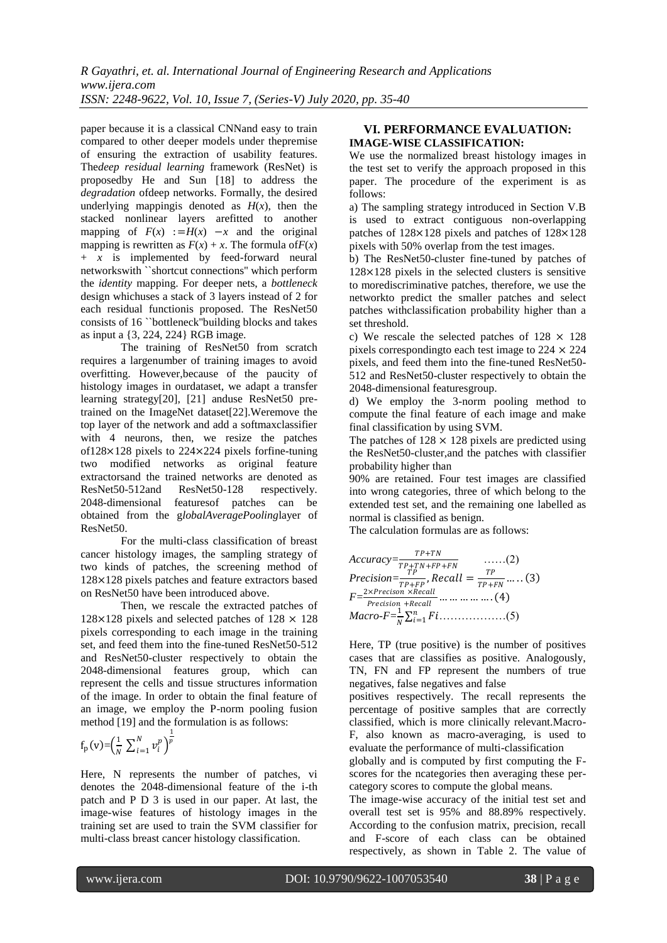paper because it is a classical CNNand easy to train compared to other deeper models under thepremise of ensuring the extraction of usability features. The*deep residual learning* framework (ResNet) is proposedby He and Sun [18] to address the *degradation* ofdeep networks. Formally, the desired underlying mappingis denoted as  $H(x)$ , then the stacked nonlinear layers arefitted to another mapping of  $F(x) := H(x) -x$  and the original mapping is rewritten as  $F(x) + x$ . The formula of  $F(x)$ + *x* is implemented by feed-forward neural networkswith ``shortcut connections'' which perform the *identity* mapping. For deeper nets, a *bottleneck*  design whichuses a stack of 3 layers instead of 2 for each residual functionis proposed. The ResNet50 consists of 16 ``bottleneck''building blocks and takes as input a {3, 224, 224} RGB image.

The training of ResNet50 from scratch requires a largenumber of training images to avoid overfitting. However,because of the paucity of histology images in ourdataset, we adapt a transfer learning strategy[20], [21] anduse ResNet50 pretrained on the ImageNet dataset[22].Weremove the top layer of the network and add a softmaxclassifier with 4 neurons, then, we resize the patches of128×128 pixels to 224×224 pixels forfine-tuning two modified networks as original feature extractorsand the trained networks are denoted as ResNet50-512and ResNet50-128 respectively. 2048-dimensional featuresof patches can be obtained from the g*lobalAveragePooling*layer of ResNet50.

For the multi-class classification of breast cancer histology images, the sampling strategy of two kinds of patches, the screening method of 128×128 pixels patches and feature extractors based on ResNet50 have been introduced above.

Then, we rescale the extracted patches of 128 $\times$ 128 pixels and selected patches of 128  $\times$  128 pixels corresponding to each image in the training set, and feed them into the fine-tuned ResNet50-512 and ResNet50-cluster respectively to obtain the 2048-dimensional features group, which can represent the cells and tissue structures information of the image. In order to obtain the final feature of an image, we employ the P-norm pooling fusion method [19] and the formulation is as follows:

$$
f_p(v) = \left(\frac{1}{N} \sum_{i=1}^N v_i^p\right)^{\frac{1}{p}}
$$

Here, N represents the number of patches, vi denotes the 2048-dimensional feature of the i-th patch and P D 3 is used in our paper. At last, the image-wise features of histology images in the training set are used to train the SVM classifier for multi-class breast cancer histology classification.

## **VI. PERFORMANCE EVALUATION: IMAGE-WISE CLASSIFICATION:**

We use the normalized breast histology images in the test set to verify the approach proposed in this paper. The procedure of the experiment is as follows:

a) The sampling strategy introduced in Section V.B is used to extract contiguous non-overlapping patches of 128×128 pixels and patches of 128×128 pixels with 50% overlap from the test images.

b) The ResNet50-cluster fine-tuned by patches of 128×128 pixels in the selected clusters is sensitive to morediscriminative patches, therefore, we use the networkto predict the smaller patches and select patches withclassification probability higher than a set threshold.

c) We rescale the selected patches of  $128 \times 128$ pixels corresponding to each test image to  $224 \times 224$ pixels, and feed them into the fine-tuned ResNet50- 512 and ResNet50-cluster respectively to obtain the 2048-dimensional featuresgroup.

d) We employ the 3-norm pooling method to compute the final feature of each image and make final classification by using SVM.

The patches of  $128 \times 128$  pixels are predicted using the ResNet50-cluster,and the patches with classifier probability higher than

90% are retained. Four test images are classified into wrong categories, three of which belong to the extended test set, and the remaining one labelled as normal is classified as benign.

The calculation formulas are as follows:

$$
Accuracy = \frac{TP + TN}{TP + TN + FP + FN} \qquad \qquad \dots \dots (2)
$$
\n
$$
Precision = \frac{TP}{TP + FP}, Recall = \frac{TP}{TP + FN} \dots \dots (3)
$$
\n
$$
F = \frac{2 \times Precision \times Recall}{Precision + Recall} \dots \dots \dots \dots (4)
$$
\n
$$
Macro-F = \frac{1}{N} \sum_{i=1}^{n} Fi \dots \dots \dots \dots (5)
$$

Here, TP (true positive) is the number of positives cases that are classifies as positive. Analogously, TN, FN and FP represent the numbers of true negatives, false negatives and false

positives respectively. The recall represents the percentage of positive samples that are correctly classified, which is more clinically relevant.Macro-F, also known as macro-averaging, is used to evaluate the performance of multi-classification

globally and is computed by first computing the Fscores for the ncategories then averaging these percategory scores to compute the global means.

The image-wise accuracy of the initial test set and overall test set is 95% and 88.89% respectively. According to the confusion matrix, precision, recall and F-score of each class can be obtained respectively, as shown in Table 2. The value of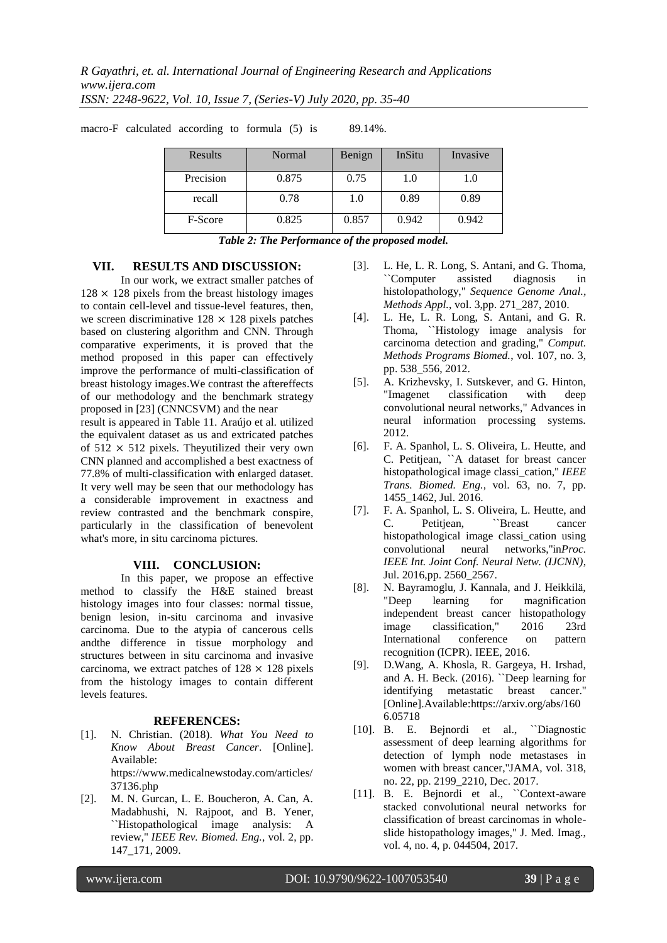| <b>Results</b> | Normal | Benign | InSitu | Invasive |
|----------------|--------|--------|--------|----------|
| Precision      | 0.875  | 0.75   | 1.0    | 1.0      |
| recall         | 0.78   | 1.0    | 0.89   | 0.89     |
| F-Score        | 0.825  | 0.857  | 0.942  | 0.942    |

macro-F calculated according to formula (5) is 89.14%.

*Table 2: The Performance of the proposed model.*

#### **VII. RESULTS AND DISCUSSION:**

In our work, we extract smaller patches of  $128 \times 128$  pixels from the breast histology images to contain cell-level and tissue-level features, then, we screen discriminative  $128 \times 128$  pixels patches based on clustering algorithm and CNN. Through comparative experiments, it is proved that the method proposed in this paper can effectively improve the performance of multi-classification of breast histology images.We contrast the aftereffects of our methodology and the benchmark strategy proposed in [23] (CNNCSVM) and the near

result is appeared in Table 11. Araújo et al. utilized the equivalent dataset as us and extricated patches of  $512 \times 512$  pixels. Theyutilized their very own CNN planned and accomplished a best exactness of 77.8% of multi-classification with enlarged dataset. It very well may be seen that our methodology has a considerable improvement in exactness and review contrasted and the benchmark conspire, particularly in the classification of benevolent what's more, in situ carcinoma pictures.

#### **VIII. CONCLUSION:**

In this paper, we propose an effective method to classify the H&E stained breast histology images into four classes: normal tissue, benign lesion, in-situ carcinoma and invasive carcinoma. Due to the atypia of cancerous cells andthe difference in tissue morphology and structures between in situ carcinoma and invasive carcinoma, we extract patches of  $128 \times 128$  pixels from the histology images to contain different levels features.

#### **REFERENCES:**

- [1]. N. Christian. (2018). *What You Need to Know About Breast Cancer*. [Online]. Available: https://www.medicalnewstoday.com/articles/ 37136.php
- [2]. M. N. Gurcan, L. E. Boucheron, A. Can, A. Madabhushi, N. Rajpoot, and B. Yener, ``Histopathological image analysis: A review,'' *IEEE Rev. Biomed. Eng.*, vol. 2, pp. 147\_171, 2009.
- [3]. L. He, L. R. Long, S. Antani, and G. Thoma, ``Computer assisted diagnosis in histolopathology,'' *Sequence Genome Anal., Methods Appl.*, vol. 3,pp. 271\_287, 2010.
- [4]. L. He, L. R. Long, S. Antani, and G. R. Thoma, ``Histology image analysis for carcinoma detection and grading,'' *Comput. Methods Programs Biomed.*, vol. 107, no. 3, pp. 538\_556, 2012.
- [5]. A. Krizhevsky, I. Sutskever, and G. Hinton, "Imagenet classification with deep convolutional neural networks," Advances in neural information processing systems. 2012.
- [6]. F. A. Spanhol, L. S. Oliveira, L. Heutte, and C. Petitjean, ``A dataset for breast cancer histopathological image classi\_cation,'' *IEEE Trans. Biomed. Eng.*, vol. 63, no. 7, pp. 1455\_1462, Jul. 2016.
- [7]. F. A. Spanhol, L. S. Oliveira, L. Heutte, and C. Petitjean, ''Breast cancer histopathological image classi\_cation using convolutional neural networks,''in*Proc. IEEE Int. Joint Conf. Neural Netw. (IJCNN)*, Jul. 2016,pp. 2560\_2567.
- [8]. N. Bayramoglu, J. Kannala, and J. Heikkilä, "Deep learning for magnification independent breast cancer histopathology image classification," 2016 23rd International conference on pattern recognition (ICPR). IEEE, 2016.
- [9]. D.Wang, A. Khosla, R. Gargeya, H. Irshad, and A. H. Beck. (2016). ``Deep learning for identifying metastatic breast cancer.'' [Online].Available[:https://arxiv.org/abs/160](https://arxiv.org/abs/1606.05718) [6.05718](https://arxiv.org/abs/1606.05718)
- [10]. B. E. Bejnordi et al., ``Diagnostic assessment of deep learning algorithms for detection of lymph node metastases in women with breast cancer,''JAMA, vol. 318, no. 22, pp. 2199\_2210, Dec. 2017.
- [11]. B. E. Bejnordi et al., "Context-aware stacked convolutional neural networks for classification of breast carcinomas in wholeslide histopathology images,'' J. Med. Imag., vol. 4, no. 4, p. 044504, 2017.